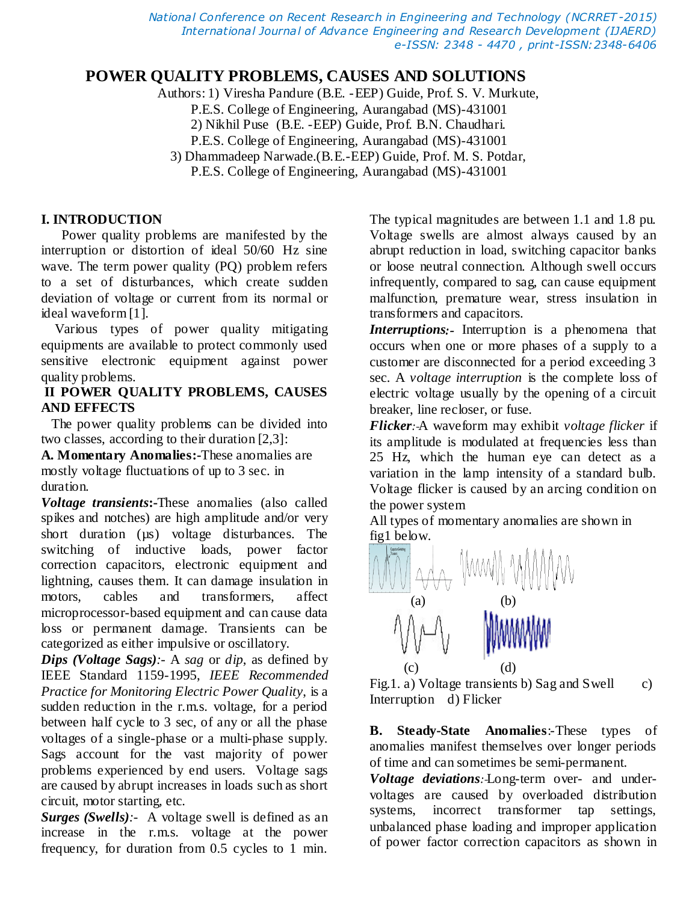*National Conference on Recent Research in Engineering and Technology (NCRRET -2015) International Journal of Advance Engineering and Research Development (IJAERD) e-ISSN: 2348 - 4470 , print-ISSN:2348-6406*

# **POWER QUALITY PROBLEMS, CAUSES AND SOLUTIONS**

Authors: 1) Viresha Pandure (B.E. -EEP) Guide, Prof. S. V. Murkute,

P.E.S. College of Engineering, Aurangabad (MS)-431001

2) Nikhil Puse (B.E. -EEP) Guide, Prof. B.N. Chaudhari.

P.E.S. College of Engineering, Aurangabad (MS)-431001

3) Dhammadeep Narwade.(B.E.-EEP) Guide, Prof. M. S. Potdar,

P.E.S. College of Engineering, Aurangabad (MS)-431001

## **I. INTRODUCTION**

 Power quality problems are manifested by the interruption or distortion of ideal 50/60 Hz sine wave. The term power quality (PQ) problem refers to a set of disturbances, which create sudden deviation of voltage or current from its normal or ideal waveform [1].

 Various types of power quality mitigating equipments are available to protect commonly used sensitive electronic equipment against power quality problems.

### **II POWER QUALITY PROBLEMS, CAUSES AND EFFECTS**

 The power quality problems can be divided into two classes, according to their duration [2,3]:

**A. Momentary Anomalies:-**These anomalies are mostly voltage fluctuations of up to 3 sec. in duration.

*Voltage transients***:-**These anomalies (also called spikes and notches) are high amplitude and/or very short duration ( $\mu$ s) voltage disturbances. The switching of inductive loads, power factor correction capacitors, electronic equipment and lightning, causes them. It can damage insulation in motors, cables and transformers, affect microprocessor-based equipment and can cause data loss or permanent damage. Transients can be categorized as either impulsive or oscillatory.

*Dips (Voltage Sags):-* A *sag* or *dip*, as defined by IEEE Standard 1159-1995, *IEEE Recommended Practice for Monitoring Electric Power Quality*, is a sudden reduction in the r.m.s. voltage, for a period between half cycle to 3 sec, of any or all the phase voltages of a single-phase or a multi-phase supply. Sags account for the vast majority of power problems experienced by end users. Voltage sags are caused by abrupt increases in loads such as short circuit, motor starting, etc.

*Surges (Swells):-*A voltage swell is defined as an increase in the r.m.s. voltage at the power frequency, for duration from 0.5 cycles to 1 min.

The typical magnitudes are between 1.1 and 1.8 pu. Voltage swells are almost always caused by an abrupt reduction in load, switching capacitor banks or loose neutral connection. Although swell occurs infrequently, compared to sag, can cause equipment malfunction, premature wear, stress insulation in transformers and capacitors.

*Interruptions:-* Interruption is a phenomena that occurs when one or more phases of a supply to a customer are disconnected for a period exceeding 3 sec. A *voltage interruption* is the complete loss of electric voltage usually by the opening of a circuit breaker, line recloser, or fuse.

*Flicker:-*A waveform may exhibit *voltage flicker* if its amplitude is modulated at frequencies less than 25 Hz, which the human eye can detect as a variation in the lamp intensity of a standard bulb. Voltage flicker is caused by an arcing condition on the power system

All types of momentary anomalies are shown in fig1 below.



Fig.1. a) Voltage transients b) Sag and Swell  $\qquad c)$ Interruption d) Flicker

**B. Steady-State Anomalies**:-These types of anomalies manifest themselves over longer periods of time and can sometimes be semi-permanent.

*Voltage deviations:-*Long-term over- and undervoltages are caused by overloaded distribution systems, incorrect transformer tap settings, unbalanced phase loading and improper application of power factor correction capacitors as shown in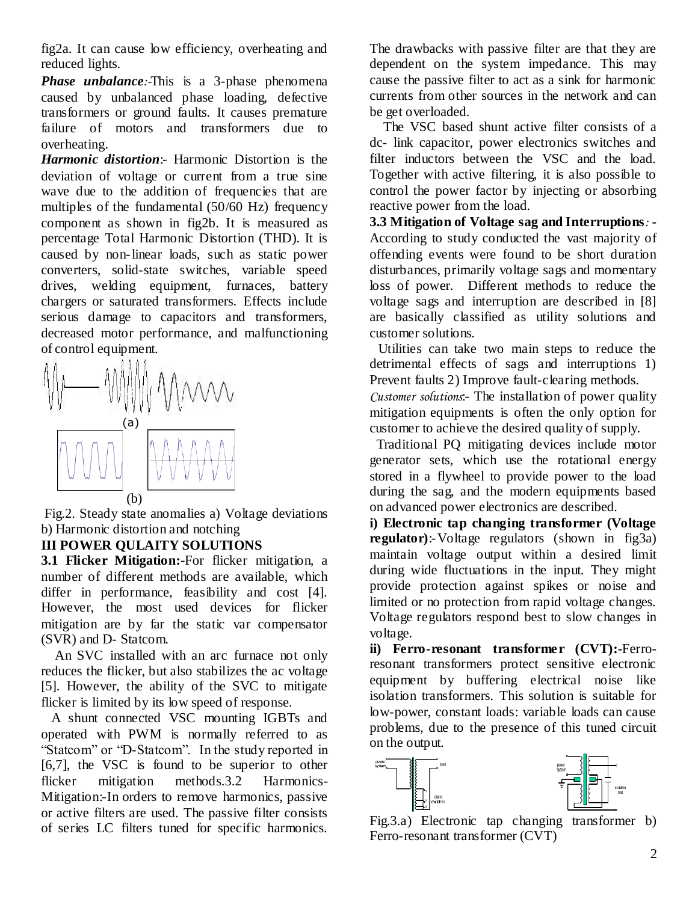fig2a. It can cause low efficiency, overheating and reduced lights.

*Phase unbalance:-*This is a 3-phase phenomena caused by unbalanced phase loading, defective transformers or ground faults. It causes premature failure of motors and transformers due to overheating.

*Harmonic distortion*:- Harmonic Distortion is the deviation of voltage or current from a true sine wave due to the addition of frequencies that are multiples of the fundamental (50/60 Hz) frequency component as shown in fig2b. It is measured as percentage Total Harmonic Distortion (THD). It is caused by non-linear loads, such as static power converters, solid-state switches, variable speed drives, welding equipment, furnaces, battery chargers or saturated transformers. Effects include serious damage to capacitors and transformers, decreased motor performance, and malfunctioning of control equipment.



Fig.2. Steady state anomalies a) Voltage deviations b) Harmonic distortion and notching

#### **III POWER QULAITY SOLUTIONS**

**3.1 Flicker Mitigation:-**For flicker mitigation, a number of different methods are available, which differ in performance, feasibility and cost [4]. However, the most used devices for flicker mitigation are by far the static var compensator (SVR) and D- Statcom.

 An SVC installed with an arc furnace not only reduces the flicker, but also stabilizes the ac voltage [5]. However, the ability of the SVC to mitigate flicker is limited by its low speed of response.

 A shunt connected VSC mounting IGBTs and operated with PWM is normally referred to as "Statcom" or "D-Statcom". In the study reported in [6,7], the VSC is found to be superior to other flicker mitigation methods.3.2 Harmonics-Mitigation:-In orders to remove harmonics, passive or active filters are used. The passive filter consists of series LC filters tuned for specific harmonics.

The drawbacks with passive filter are that they are dependent on the system impedance. This may cause the passive filter to act as a sink for harmonic currents from other sources in the network and can be get overloaded.

 The VSC based shunt active filter consists of a dc- link capacitor, power electronics switches and filter inductors between the VSC and the load. Together with active filtering, it is also possible to control the power factor by injecting or absorbing reactive power from the load.

**3.3 Mitigation of Voltage sag and Interruptions***:* **-** According to study conducted the vast majority of offending events were found to be short duration disturbances, primarily voltage sags and momentary loss of power. Different methods to reduce the voltage sags and interruption are described in [8] are basically classified as utility solutions and customer solutions.

Utilities can take two main steps to reduce the detrimental effects of sags and interruptions 1) Prevent faults 2) Improve fault-clearing methods.

*Customer solutions*:- The installation of power quality mitigation equipments is often the only option for customer to achieve the desired quality of supply.

 Traditional PQ mitigating devices include motor generator sets, which use the rotational energy stored in a flywheel to provide power to the load during the sag, and the modern equipments based on advanced power electronics are described.

**i) Electronic tap changing transformer (Voltage regulator)**:-Voltage regulators (shown in fig3a) maintain voltage output within a desired limit during wide fluctuations in the input. They might provide protection against spikes or noise and limited or no protection from rapid voltage changes. Voltage regulators respond best to slow changes in voltage.

**ii) Ferro-resonant transformer (CVT):-**Ferroresonant transformers protect sensitive electronic equipment by buffering electrical noise like isolation transformers. This solution is suitable for low-power, constant loads: variable loads can cause problems, due to the presence of this tuned circuit on the output.



Fig.3.a) Electronic tap changing transformer b) Ferro-resonant transformer (CVT)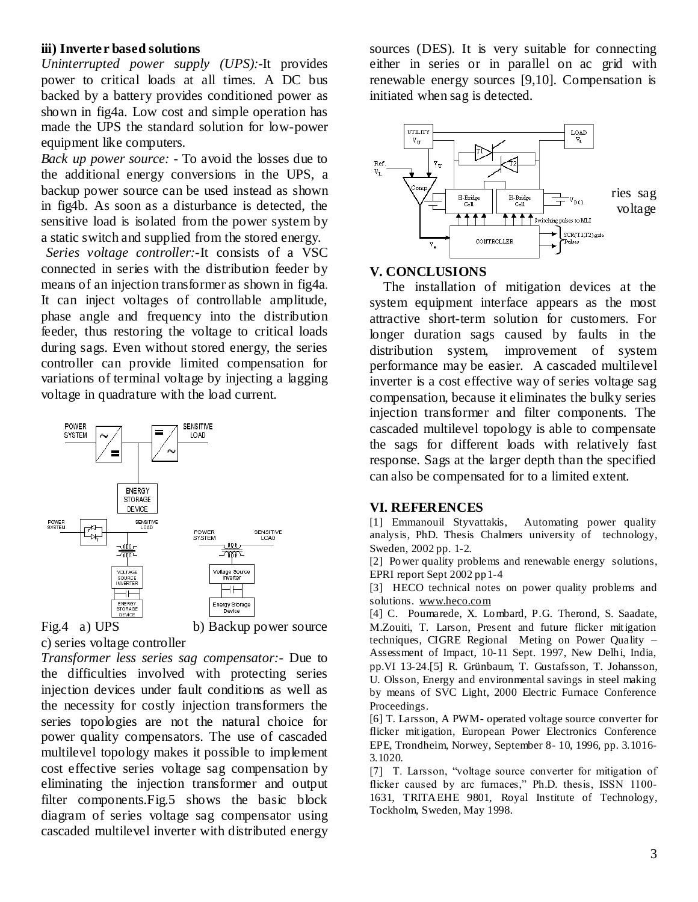#### **iii) Inverter based solutions**

*Uninterrupted power supply (UPS):-*It provides power to critical loads at all times. A DC bus backed by a battery provides conditioned power as shown in fig4a. Low cost and simple operation has made the UPS the standard solution for low-power equipment like computers.

*Back up power source: -* To avoid the losses due to the additional energy conversions in the UPS, a backup power source can be used instead as shown in fig4b. As soon as a disturbance is detected, the sensitive load is isolated from the power system by a static switch and supplied from the stored energy.

 *Series voltage controller:-*It consists of a VSC connected in series with the distribution feeder by means of an injection transformer as shown in fig4a. It can inject voltages of controllable amplitude, phase angle and frequency into the distribution feeder, thus restoring the voltage to critical loads during sags. Even without stored energy, the series controller can provide limited compensation for variations of terminal voltage by injecting a lagging voltage in quadrature with the load current.





Fig.4 a) UPS b) Backup power source

c) series voltage controller *Transformer less series sag compensator:-* Due to the difficulties involved with protecting series injection devices under fault conditions as well as the necessity for costly injection transformers the series topologies are not the natural choice for power quality compensators. The use of cascaded multilevel topology makes it possible to implement

cost effective series voltage sag compensation by eliminating the injection transformer and output filter components.Fig.5 shows the basic block diagram of series voltage sag compensator using cascaded multilevel inverter with distributed energy

sources (DES). It is very suitable for connecting either in series or in parallel on ac grid with renewable energy sources [9,10]. Compensation is initiated when sag is detected.



#### **V. CONCLUSIONS**

 The installation of mitigation devices at the system equipment interface appears as the most attractive short-term solution for customers. For longer duration sags caused by faults in the distribution system, improvement of system performance may be easier. A cascaded multilevel inverter is a cost effective way of series voltage sag compensation, because it eliminates the bulky series injection transformer and filter components. The cascaded multilevel topology is able to compensate the sags for different loads with relatively fast response. Sags at the larger depth than the specified can also be compensated for to a limited extent.

#### **VI. REFERENCES**

[1] Emmanouil Styvattakis, Automating power quality analysis, PhD. Thesis Chalmers university of technology, Sweden, 2002 pp. 1-2.

[2] Power quality problems and renewable energy solutions, EPRI report Sept 2002 pp1-4

[3] HECO technical notes on power quality problems and solutions. [www.heco.com](http://www.heco.com/)

[4] C. Poumarede, X. Lombard, P.G. Therond, S. Saadate, M.Zouiti, T. Larson, Present and future flicker mitigation techniques, CIGRE Regional Meting on Power Quality – Assessment of Impact, 10-11 Sept. 1997, New Delhi, India, pp.VI 13-24.[5] R. Grünbaum, T. Gustafsson, T. Johansson, U. Olsson, Energy and environmental savings in steel making by means of SVC Light, 2000 Electric Furnace Conference Proceedings.

[6] T. Larsson, A PWM- operated voltage source converter for flicker mitigation, European Power Electronics Conference EPE, Trondheim, Norwey, September 8- 10, 1996, pp. 3.1016- 3.1020.

[7] T. Larsson, "voltage source converter for mitigation of flicker caused by arc furnaces," Ph.D. thesis, ISSN 1100-1631, TRITAEHE 9801, Royal Institute of Technology, Tockholm, Sweden, May 1998.